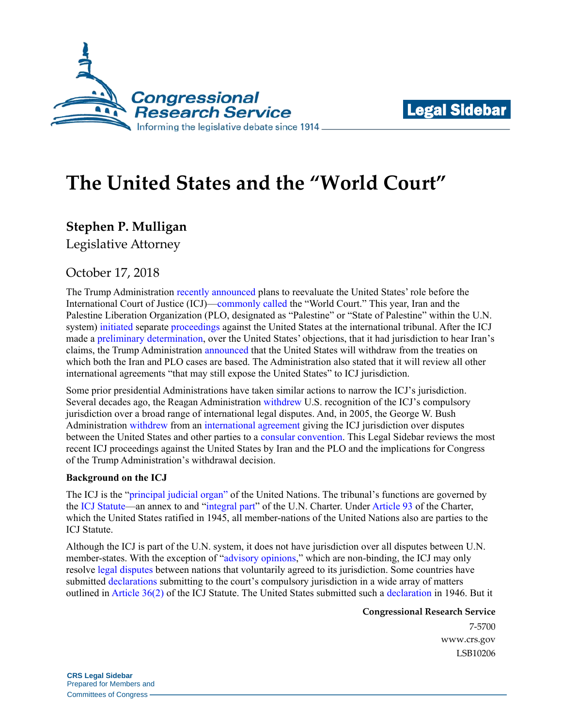



# **The United States and the "World Court"**

**Stephen P. Mulligan**

Legislative Attorney

## October 17, 2018

The Trump Administration [recently announced](https://www.whitehouse.gov/briefings-statements/press-briefing-press-secretary-sarah-sanders-small-business-administrator-linda-mcmahon-national-security-advisor-100318/) plans to reevaluate the United States' role before the International Court of Justice (ICJ)[—commonly](https://www.reuters.com/article/us-usa-diplomacy-treaty/us-reviewing-agreements-that-expose-it-to-world-court-bolton-idUSKCN1MD2CP) [called](https://www.cnbc.com/2018/10/03/world-court-orders-us-to-ensure-iran-sanctions-dont-hit-humanitarian-aid.html) the "World Court." This year, Iran and the Palestine Liberation Organization (PLO, designated as "Palestine" or "State of Palestine" within the U.N. system) [initiated](https://www.icj-cij.org/en/case/175) separate [proceedings](https://www.icj-cij.org/en/case/176) against the United States at the international tribunal. After the ICJ made a [preliminary determination,](https://www.icj-cij.org/files/case-related/175/175-20181003-ORD-01-00-EN.pdf) over the United States' objections, that it had jurisdiction to hear Iran's claims, the Trump Administration [announced](https://www.whitehouse.gov/briefings-statements/press-briefing-press-secretary-sarah-sanders-small-business-administrator-linda-mcmahon-national-security-advisor-100318/) that the United States will withdraw from the treaties on which both the Iran and PLO cases are based. The Administration also stated that it will review all other international agreements "that may still expose the United States" to ICJ jurisdiction.

Some prior presidential Administrations have taken similar actions to narrow the ICJ's jurisdiction. Several decades ago, the Reagan Administration [withdrew](https://www.nytimes.com/1985/01/19/world/text-of-us-statement-on-withdrawal-from-case-before-the-world-court.html) U.S. recognition of the ICJ's compulsory jurisdiction over a broad range of international legal disputes. And, in 2005, the George W. Bush Administration [withdrew](https://www.state.gov/documents/organization/87288.pdf) from an [international agreement](https://treaties.un.org/pages/ViewDetails.aspx?src=TREATY&mtdsg_no=III-8&chapter=3&clang=_en) giving the ICJ jurisdiction over disputes between the United States and other parties to a [consular convention.](file://///crsdomain/crshomedir/ALD/SMULLIGAN/ICJ/legal.un.org/ilc/texts/instruments/english/conventions/9_2_1963.pdf) This Legal Sidebar reviews the most recent ICJ proceedings against the United States by Iran and the PLO and the implications for Congress of the Trump Administration's withdrawal decision.

### **Background on the ICJ**

The ICJ is the ["principal judicial organ"](http://legal.un.org/repertory/art92.shtml) of the United Nations. The tribunal's functions are governed by the [ICJ Statute—](https://www.icj-cij.org/en/statute)an annex to and ["integral part"](http://legal.un.org/repertory/art92.shtml) of the U.N. Charter. Unde[r Article 93](http://legal.un.org/repertory/art93.shtml) of the Charter, which the United States ratified in 1945, all member-nations of the United Nations also are parties to the ICJ Statute.

Although the ICJ is part of the U.N. system, it does not have jurisdiction over all disputes between U.N. member-states. With the exception of ["advisory opinions,](https://www.icj-cij.org/en/advisory-jurisdiction)" which are non-binding, the ICJ may only resolve [legal disputes](https://www.icj-cij.org/en/contentious-jurisdiction) between nations that voluntarily agreed to its jurisdiction. Some countries have submitted [declarations](https://www.icj-cij.org/en/declarations) submitting to the court's compulsory jurisdiction in a wide array of matters outlined i[n Article 36\(2\)](https://www.google.com/url?sa=t&rct=j&q=&esrc=s&source=web&cd=4&ved=2ahUKEwjynunqoevdAhUqwVkKHaSsDv4QFjADegQIBhAC&url=http%3A%2F%2Fiilj.org%2Fwp-content%2Fuploads%2F2016%2F08%2FStatute-of-the-ICJ-Arts.-36-65-1.pdf&usg=AOvVaw1LVU4sR6kEU8Nwo6ky5RHG) of the ICJ Statute. The United States submitted such a [declaration](https://www.loc.gov/law/help/us-treaties/bevans/m-ust000004-0140.pdf) in 1946. But it

**Congressional Research Service**

7-5700 [www.crs.gov](http://www.crs.gov/) LSB10206

**CRS Legal Sidebar** Prepared for Members and Committees of Congress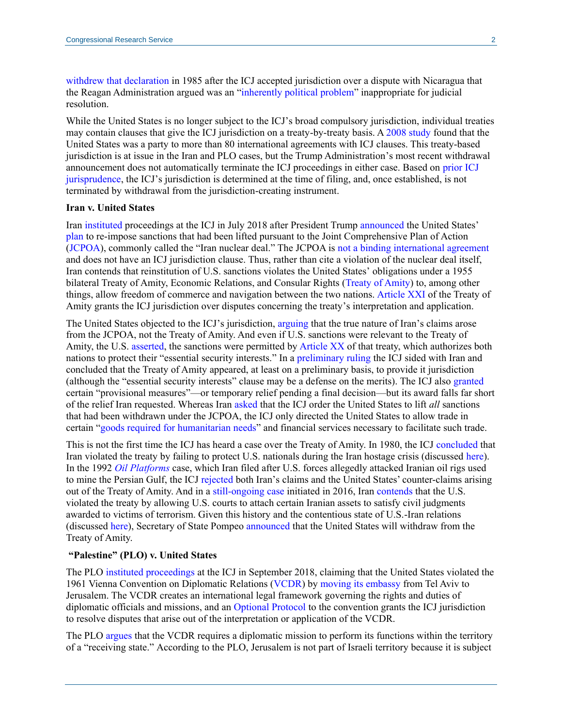[withdrew that declaration](https://www.nytimes.com/1985/01/19/world/text-of-us-statement-on-withdrawal-from-case-before-the-world-court.html) in 1985 after the ICJ accepted jurisdiction over a dispute with Nicaragua that the Reagan Administration argued was an ["inherently political problem"](https://www.nytimes.com/1985/01/19/world/text-of-us-statement-on-withdrawal-from-case-before-the-world-court.html) inappropriate for judicial resolution.

While the United States is no longer subject to the ICJ's broad compulsory jurisdiction, individual treaties may contain clauses that give the ICJ jurisdiction on a treaty-by-treaty basis. A [2008 study](https://books.google.com/books?id=G7LJDff-hwUC&lpg=PA98&ots=ygSx1QGLis&dq=sword%20and%20the%20scales%20table%204.4%20list%20of%20multilateral%20or%20bilateral%20treaties&pg=PA99#v=onepage&q&f=false) found that the United States was a party to more than 80 international agreements with ICJ clauses. This treaty-based jurisdiction is at issue in the Iran and PLO cases, but the Trump Administration's most recent withdrawal announcement does not automatically terminate the ICJ proceedings in either case. Based on [prior ICJ](https://www.icj-cij.org/files/case-related/18/018-19531118-JUD-01-00-EN.pdf#page=15) [jurisprudence,](https://www.icj-cij.org/files/case-related/70/070-19860627-JUD-01-00-EN.pdf#page=18) the ICJ's jurisdiction is determined at the time of filing, and, once established, is not terminated by withdrawal from the jurisdiction-creating instrument.

#### **Iran v. United States**

Iran [instituted](https://www.icj-cij.org/files/case-related/175/175-20180716-APP-01-00-EN.pdf) proceedings at the ICJ in July 2018 after President Trump [announced](https://www.whitehouse.gov/briefings-statements/remarks-president-trump-joint-comprehensive-plan-action/) the United States' [plan](https://www.whitehouse.gov/presidential-actions/ceasing-u-s-participation-jcpoa-taking-additional-action-counter-irans-malign-influence-deny-iran-paths-nuclear-weapon/) to re-impose sanctions that had been lifted pursuant to the Joint Comprehensive Plan of Action [\(JCPOA\)](https://www.state.gov/documents/organization/245317.pdf), commonly called the "Iran nuclear deal." The JCPOA is [not a binding international agreement](https://fas.org/sgp/crs/row/R44761.pdf) and does not have an ICJ jurisdiction clause. Thus, rather than cite a violation of the nuclear deal itself, Iran contends that reinstitution of U.S. sanctions violates the United States' obligations under a 1955 bilateral Treaty of Amity, Economic Relations, and Consular Rights [\(Treaty of Amity\)](https://www.state.gov/documents/organization/275251.pdf) to, among other things, allow freedom of commerce and navigation between the two nations. [Article XXI](https://www.state.gov/documents/organization/275251.pdf#page=15) of the Treaty of Amity grants the ICJ jurisdiction over disputes concerning the treaty's interpretation and application.

The United States objected to the ICJ's jurisdiction, [arguing](https://www.icj-cij.org/files/case-related/175/175-20180828-ORA-01-00-BI.pdf#page=13) that the true nature of Iran's claims arose from the JCPOA, not the Treaty of Amity. And even if U.S. sanctions were relevant to the Treaty of Amity, the U.S. [asserted,](https://www.icj-cij.org/files/case-related/175/175-20180828-ORA-01-00-BI.pdf#page=14) the sanctions were permitted b[y Article XX](https://www.state.gov/documents/organization/275251.pdf#page=14) of that treaty, which authorizes both nations to protect their "essential security interests." In [a preliminary ruling](https://www.icj-cij.org/files/case-related/175/175-20181003-ORD-01-00-EN.pdf) the ICJ sided with Iran and concluded that the Treaty of Amity appeared, at least on a preliminary basis, to provide it jurisdiction (although the "essential security interests" clause may be a defense on the merits). The ICJ also [granted](https://www.icj-cij.org/files/case-related/175/175-20181003-ORD-01-00-EN.pdf#page=28) certain "provisional measures"—or temporary relief pending a final decision—but its award falls far short of the relief Iran requested. Whereas Iran [asked](https://www.icj-cij.org/files/case-related/175/175-20180716-REQ-01-00-EN.pdf) that the ICJ order the United States to lift *all* sanctions that had been withdrawn under the JCPOA, the ICJ only directed the United States to allow trade in certain ["goods required for humanitarian needs"](https://www.icj-cij.org/files/case-related/175/175-20181003-ORD-01-00-EN.pdf#page=26) and financial services necessary to facilitate such trade.

This is not the first time the ICJ has heard a case over the Treaty of Amity. In 1980, the ICJ [concluded](https://www.icj-cij.org/en/case/64) that Iran violated the treaty by failing to protect U.S. nationals during the Iran hostage crisis (discussed [here\)](https://fas.org/sgp/crs/mideast/RL32048.pdf). In the 1992 *[Oil Platforms](https://www.icj-cij.org/en/case/90)* case, which Iran filed after U.S. forces allegedly attacked Iranian oil rigs used to mine the Persian Gulf, the ICJ [rejected](https://www.icj-cij.org/files/case-related/90/090-20031106-JUD-01-00-EN.pdf) both Iran's claims and the United States' counter-claims arising out of the Treaty of Amity. And in a [still-ongoing case](https://www.icj-cij.org/en/case/164) initiated in 2016, Iran [contends](https://www.icj-cij.org/files/case-related/164/164-20160614-APP-01-00-EN.pdf) that the U.S. violated the treaty by allowing U.S. courts to attach certain Iranian assets to satisfy civil judgments awarded to victims of terrorism. Given this history and the contentious state of U.S.-Iran relations (discussed [here\)](https://fas.org/sgp/crs/mideast/RL32048.pdf), Secretary of State Pompeo [announced](https://www.whitehouse.gov/briefings-statements/press-briefing-press-secretary-sarah-sanders-small-business-administrator-linda-mcmahon-national-security-advisor-100318/) that the United States will withdraw from the Treaty of Amity.

#### **"Palestine" (PLO) v. United States**

The PLO [instituted proceedings](https://www.icj-cij.org/files/case-related/176/176-20180928-APP-01-00-EN.pdf) at the ICJ in September 2018, claiming that the United States violated the 1961 Vienna Convention on Diplomatic Relations [\(VCDR\)](file://///crsdomain/crshomedir/ALD/SMULLIGAN/ICJ/legal.un.org/ilc/texts/instruments/english/conventions/9_1_1961.pdf) by [moving its embassy](https://www.whitehouse.gov/presidential-actions/presidential-proclamation-recognizing-jerusalem-capital-state-israel-relocating-united-states-embassy-israel-jerusalem/) from Tel Aviv to Jerusalem. The VCDR creates an international legal framework governing the rights and duties of diplomatic officials and missions, and an [Optional Protocol](https://treaties.un.org/doc/Treaties/1964/06/19640624%2010-27%20PM/Ch_III_5p.pdf) to the convention grants the ICJ jurisdiction to resolve disputes that arise out of the interpretation or application of the VCDR.

The PLO [argues](https://www.icj-cij.org/files/case-related/176/176-20180928-APP-01-00-EN.pdf) that the VCDR requires a diplomatic mission to perform its functions within the territory of a "receiving state." According to the PLO, Jerusalem is not part of Israeli territory because it is subject